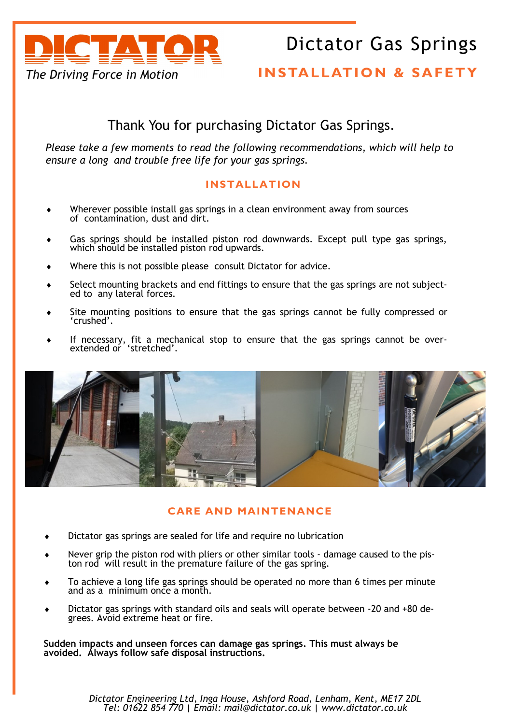

# Dictator Gas Springs

## **INSTALLATION & SAFETY**

## Thank You for purchasing Dictator Gas Springs.

*Please take a few moments to read the following recommendations, which will help to ensure a long and trouble free life for your gas springs.* 

### **INSTALLATION**

- Wherever possible install gas springs in a clean environment away from sources of contamination, dust and dirt.
- Gas springs should be installed piston rod downwards. Except pull type gas springs, which should be installed piston rod upwards.
- Where this is not possible please consult Dictator for advice.
- Select mounting brackets and end fittings to ensure that the gas springs are not subjected to any lateral forces.
- Site mounting positions to ensure that the gas springs cannot be fully compressed or 'crushed'.
- If necessary, fit a mechanical stop to ensure that the gas springs cannot be overextended or 'stretched'.



#### **CARE AND MAINTENANCE**

- Dictator gas springs are sealed for life and require no lubrication
- Never grip the piston rod with pliers or other similar tools damage caused to the piston rod will result in the premature failure of the gas spring.
- To achieve a long life gas springs should be operated no more than 6 times per minute and as a minimum once a month.
- Dictator gas springs with standard oils and seals will operate between -20 and +80 degrees. Avoid extreme heat or fire.

**Sudden impacts and unseen forces can damage gas springs. This must always be avoided. Always follow safe disposal instructions.**

> *Dictator Engineering Ltd, Inga House, Ashford Road, Lenham, Kent, ME17 2DL Tel: 01622 854 770 | Email: mail@dictator.co.uk | www.dictator.co.uk*